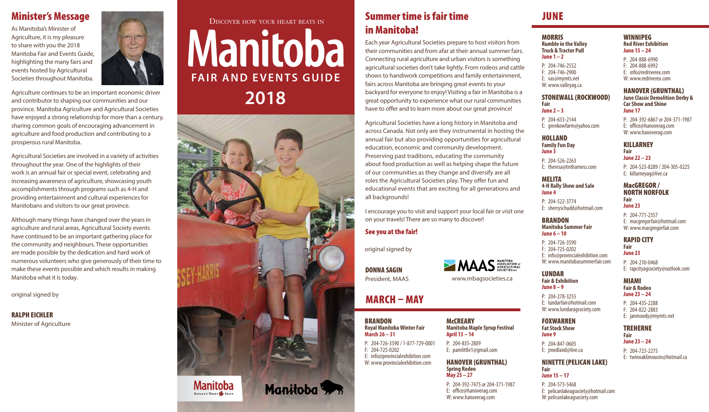### Minister's Message

As Manitoba's Minister of Agriculture, it is my pleasure to share with you the 2018 Manitoba Fair and Events Guide, highlighting the many fairs and events hosted by Agricultural Societies throughout Manitoba.



Agriculture continues to be an important economic driver and contributor to shaping our communities and our province. Manitoba Agriculture and Agricultural Societies have enjoyed a strong relationship for more than a century, sharing common goals of encouraging advancement in agriculture and food production and contributing to a prosperous rural Manitoba.

Agricultural Societies are involved in a variety of activities throughout the year. One of the highlights of their work is an annual fair or special event, celebrating and increasing awareness of agriculture, showcasing youth accomplishments through programs such as 4-H and providing entertainment and cultural experiences for Manitobans and visitors to our great province.

Although many things have changed over the years in agriculture and rural areas, Agricultural Society events have continued to be an important gathering place for the community and neighbours. These opportunities are made possible by the dedication and hard work of numerous volunteers who give generously of their time to make these events possible and which results in making Manitoba what it is today.

original signed by

RALPH EICHLER Minister of Agriculture

# Discover how your heart beats in Manitoba **FAIR AND EVENTS GUIDE 2018**



### Summer time is fair time JUNE in Manitoba!

Each year Agricultural Societies prepare to host visitors from their communities and from afar at their annual summer fairs. Connecting rural agriculture and urban visitors is something agricultural societies don't take lightly. From rodeos and cattle shows to handiwork competitions and family entertainment, fairs across Manitoba are bringing great events to your backyard for everyone to enjoy! Visiting a fair in Manitoba is a great opportunity to experience what our rural communities have to offer and to learn more about our great province!

Agricultural Societies have a long history in Manitoba and across Canada. Not only are they instrumental in hosting the annual fair but also providing opportunities for agricultural education, economic and community development. Preserving past traditions, educating the community about food production as well as helping shape the future of our communities as they change and diversify are all roles the Agricultural Societies play. They offer fun and educational events that are exciting for all generations and all backgrounds!

I encourage you to visit and support your local fair or visit one on your travels! There are so many to discover!

#### See you at the fair!

original signed by

DONNA SAGIN President, MAAS

## MARCH – MAY

**BRANDON Royal Manitoba Winter Fair March 26 – 31** P: 204-726-3590 / 1-877-729-0001

F: 204-725-0202 E: info@provincialexhibition.com W: www.provincialexhibition.com

**McCREARY Manitoba Maple Syrup Festival April 13 – 14**

www.mbagsocieties.ca

MAAS ASSOCIATION OF

P: 204-835-2809 E: pamlittle1@gmail.com

#### HANOVER (GRUNTHAL) **Spring Rodeo May 25 – 27**

P: 204-392-7475 or 204-371-1987 E: office@hanoverag.com W: www.hanoverag.com

MORRIS **Rumble in the Valley Truck & Tractor Pull June 1 – 2**

P: 204-746-2552 F: 204-746-2900 E: vas@mymts.net W: www.valleyag.ca

#### STONEWALL (ROCKWOOD) **Fair June 2 – 3**

P: 204-633-2144

#### HOLLAND **Family Fun Day**

**June 3** P: 204-526-2263 E: theresa@tntharness.com

MELITA

P: 204-522-3774

BRANDON

**June 6 – 10**

LUNDAR

**Manitoba Summer Fair**

**June 4**

**4-H Rally Show and Sale** E: killarneyag@live.ca

#### NORTH NORFOLK **Fair**

E: sherryschudd@hotmail.com E: macgregorfair@hotmail.com

P: 204-726-3590 F: 204-725-0202 E: info@provincialexhibition.com W: www.manitobasummerfair.com

# **Fair & Exhibition**

**June 8 – 9** P: 204-278-3255 E: lundarfair@hotmail.com W: www.lundaragsociety.com

F: 204-822-2883 E: janmoody@mymts.net

#### TREHERNE **Fair**

E: jmedland@live.ca

**June 23 – 24** P: 204-723-2275 E: twinoaklimousin@hotmail.ca

#### NINETTE (PELICAN LAKE) **Fair June 15 – 17**

P: 204-573-5468 E: pelicanlakeagsociety@hotmail.com W:pelicanlakeagsociety.com

#### WINNIPEG **Red River Exhibition June 15 – 24**

P: 204-888-6990 F: 204-888-6992 E: info@redriverex.com W: www.redriverex.com

#### HANOVER (GRUNTHAL)

**June Classic Demolition Derby & Car Show and Shine June 17**

P: 204-392-6867 or 204-371-1987 E: office@hanoverag.com W: www.hanoverag.com

E: grenkowfarm@yahoo.com

**Fair June 22 – 23** P: 204-523-8289 / 204-305-0225

# MacGREGOR /



**June 23** P: 204-771-2357

KILLARNEY

## W: www.macgregorfair.com

RAPID CITY **Fair June 23**

#### P: 204-210-0468 E: rapcityagsociety@outlook.com

MIAMI **Fair & Rodeo June 23 – 24**

P: 204-435-2288

### FOXWARREN

**Fat Stock Show June 9** P: 204-847-0605